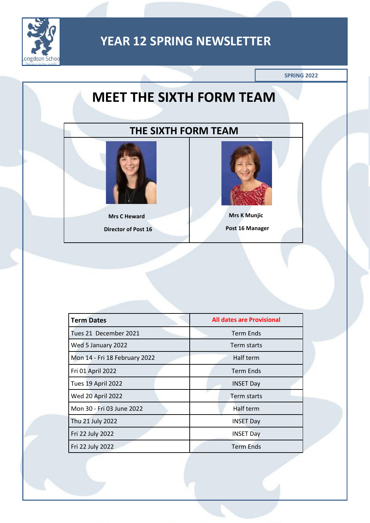

**SPRING 2022**

# **MEET THE SIXTH FORM TEAM**

### **THE SIXTH FORM TEAM**



**Mrs C Heward Director of Post 16**



**Mrs K Munjic Post 16 Manager**

| <b>Term Dates</b>             | <b>All dates are Provisional</b> |
|-------------------------------|----------------------------------|
| Tues 21 December 2021         | <b>Term Ends</b>                 |
| Wed 5 January 2022            | Term starts                      |
| Mon 14 - Fri 18 February 2022 | Half term                        |
| Fri 01 April 2022             | <b>Term Ends</b>                 |
| Tues 19 April 2022            | <b>INSET Day</b>                 |
| Wed 20 April 2022             | Term starts                      |
| Mon 30 - Fri 03 June 2022     | Half term                        |
| Thu 21 July 2022              | <b>INSET Day</b>                 |
| Fri 22 July 2022              | <b>INSET Day</b>                 |
| Fri 22 July 2022              | <b>Term Ends</b>                 |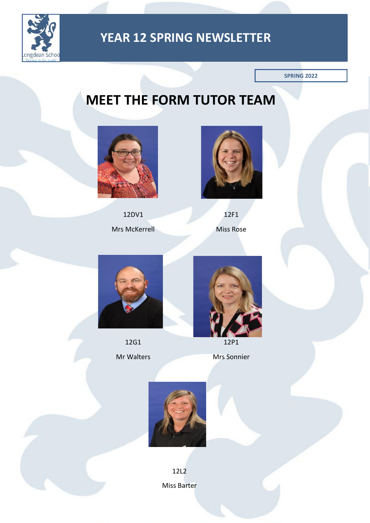

**SPRING 2022**

# **MEET THE FORM TUTOR TEAM**



12DV1

Mrs McKerrell



12F1 Miss Rose



12G1

Mr Walters



12P1

Mrs Sonnier



12L2 Miss Barter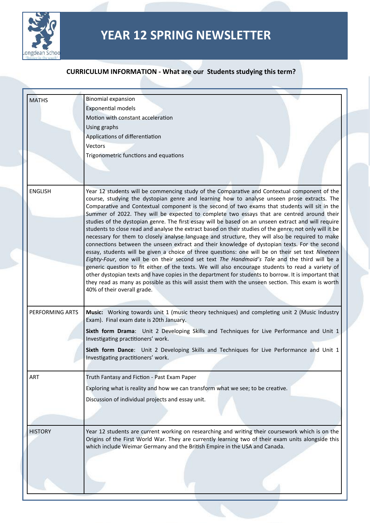

| <b>MATHS</b>    | <b>Binomial expansion</b>                                                                                                                                                                                      |
|-----------------|----------------------------------------------------------------------------------------------------------------------------------------------------------------------------------------------------------------|
|                 | <b>Exponential models</b>                                                                                                                                                                                      |
|                 | Motion with constant acceleration                                                                                                                                                                              |
|                 | Using graphs                                                                                                                                                                                                   |
|                 | Applications of differentiation                                                                                                                                                                                |
|                 | <b>Vectors</b>                                                                                                                                                                                                 |
|                 | Trigonometric functions and equations                                                                                                                                                                          |
|                 |                                                                                                                                                                                                                |
| <b>ENGLISH</b>  | Year 12 students will be commencing study of the Comparative and Contextual component of the                                                                                                                   |
|                 | course, studying the dystopian genre and learning how to analyse unseen prose extracts. The                                                                                                                    |
|                 | Comparative and Contextual component is the second of two exams that students will sit in the                                                                                                                  |
|                 | Summer of 2022. They will be expected to complete two essays that are centred around their                                                                                                                     |
|                 | studies of the dystopian genre. The first essay will be based on an unseen extract and will require<br>students to close read and analyse the extract based on their studies of the genre; not only will it be |
|                 | necessary for them to closely analyse language and structure, they will also be required to make                                                                                                               |
|                 | connections between the unseen extract and their knowledge of dystopian texts. For the second                                                                                                                  |
|                 | essay, students will be given a choice of three questions: one will be on their set text Nineteen                                                                                                              |
|                 | Eighty-Four, one will be on their second set text The Handmaid's Tale and the third will be a                                                                                                                  |
|                 | generic question to fit either of the texts. We will also encourage students to read a variety of<br>other dystopian texts and have copies in the department for students to borrow. It is important that      |
|                 | they read as many as possible as this will assist them with the unseen section. This exam is worth                                                                                                             |
|                 | 40% of their overall grade.                                                                                                                                                                                    |
|                 |                                                                                                                                                                                                                |
| PERFORMING ARTS | Music: Working towards unit 1 (music theory techniques) and completing unit 2 (Music Industry<br>Exam). Final exam date is 20th January.                                                                       |
|                 | Sixth form Drama: Unit 2 Developing Skills and Techniques for Live Performance and Unit 1<br>Investigating practitioners' work.                                                                                |
|                 | Sixth form Dance: Unit 2 Developing Skills and Techniques for Live Performance and Unit 1<br>Investigating practitioners' work.                                                                                |
|                 |                                                                                                                                                                                                                |
| <b>ART</b>      | Truth Fantasy and Fiction - Past Exam Paper                                                                                                                                                                    |
|                 | Exploring what is reality and how we can transform what we see; to be creative.                                                                                                                                |
|                 | Discussion of individual projects and essay unit.                                                                                                                                                              |
|                 |                                                                                                                                                                                                                |
|                 |                                                                                                                                                                                                                |
| <b>HISTORY</b>  | Year 12 students are current working on researching and writing their coursework which is on the                                                                                                               |
|                 | Origins of the First World War. They are currently learning two of their exam units alongside this<br>which include Weimar Germany and the British Empire in the USA and Canada.                               |
|                 |                                                                                                                                                                                                                |
|                 |                                                                                                                                                                                                                |
|                 |                                                                                                                                                                                                                |
|                 |                                                                                                                                                                                                                |
|                 |                                                                                                                                                                                                                |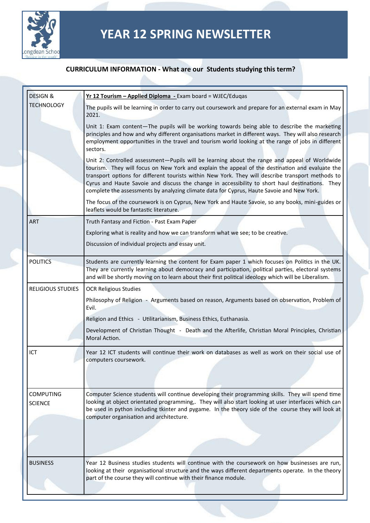

| <b>DESIGN &amp;</b>                | Yr 12 Tourism - Applied Diploma - Exam board = WJEC/Eduqas                                                                                                                                                                                                                                                                                                                                                                                                                                            |
|------------------------------------|-------------------------------------------------------------------------------------------------------------------------------------------------------------------------------------------------------------------------------------------------------------------------------------------------------------------------------------------------------------------------------------------------------------------------------------------------------------------------------------------------------|
| <b>TECHNOLOGY</b>                  | The pupils will be learning in order to carry out coursework and prepare for an external exam in May<br>2021.                                                                                                                                                                                                                                                                                                                                                                                         |
|                                    | Unit 1: Exam content-The pupils will be working towards being able to describe the marketing<br>principles and how and why different organisations market in different ways. They will also research<br>employment opportunities in the travel and tourism world looking at the range of jobs in different<br>sectors.                                                                                                                                                                                |
|                                    | Unit 2: Controlled assessment-Pupils will be learning about the range and appeal of Worldwide<br>tourism. They will focus on New York and explain the appeal of the destination and evaluate the<br>transport options for different tourists within New York. They will describe transport methods to<br>Cyrus and Haute Savoie and discuss the change in accessibility to short haul destinations. They<br>complete the assessments by analyzing climate data for Cyprus, Haute Savoie and New York. |
|                                    | The focus of the coursework is on Cyprus, New York and Haute Savoie, so any books, mini-guides or<br>leaflets would be fantastic literature.                                                                                                                                                                                                                                                                                                                                                          |
| <b>ART</b>                         | Truth Fantasy and Fiction - Past Exam Paper                                                                                                                                                                                                                                                                                                                                                                                                                                                           |
|                                    | Exploring what is reality and how we can transform what we see; to be creative.                                                                                                                                                                                                                                                                                                                                                                                                                       |
|                                    | Discussion of individual projects and essay unit.                                                                                                                                                                                                                                                                                                                                                                                                                                                     |
| <b>POLITICS</b>                    | Students are currently learning the content for Exam paper 1 which focuses on Politics in the UK.<br>They are currently learning about democracy and participation, political parties, electoral systems<br>and will be shortly moving on to learn about their first political ideology which will be Liberalism.                                                                                                                                                                                     |
| <b>RELIGIOUS STUDIES</b>           | <b>OCR Religious Studies</b>                                                                                                                                                                                                                                                                                                                                                                                                                                                                          |
|                                    | Philosophy of Religion - Arguments based on reason, Arguments based on observation, Problem of<br>Evil.                                                                                                                                                                                                                                                                                                                                                                                               |
|                                    | Religion and Ethics - Utilitarianism, Business Ethics, Euthanasia.                                                                                                                                                                                                                                                                                                                                                                                                                                    |
|                                    | Development of Christian Thought - Death and the Afterlife, Christian Moral Principles, Christian<br>Moral Action.                                                                                                                                                                                                                                                                                                                                                                                    |
| ICT                                | Year 12 ICT students will continue their work on databases as well as work on their social use of<br>computers coursework.                                                                                                                                                                                                                                                                                                                                                                            |
| <b>COMPUTING</b><br><b>SCIENCE</b> | Computer Science students will continue developing their programming skills. They will spend time<br>looking at object orientated programming,. They will also start looking at user interfaces which can<br>be used in python including tkinter and pygame. In the theory side of the course they will look at<br>computer organisation and architecture.                                                                                                                                            |
|                                    |                                                                                                                                                                                                                                                                                                                                                                                                                                                                                                       |
| <b>BUSINESS</b>                    | Year 12 Business studies students will continue with the coursework on how businesses are run,<br>looking at their organisational structure and the ways different departments operate. In the theory<br>part of the course they will continue with their finance module.                                                                                                                                                                                                                             |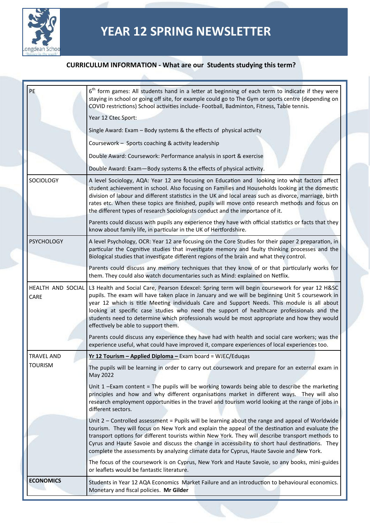

| PE                        | 6 <sup>th</sup> form games: All students hand in a letter at beginning of each term to indicate if they were<br>staying in school or going off site, for example could go to The Gym or sports centre (depending on<br>COVID restrictions) School activities include- Football, Badminton, Fitness, Table tennis.                                                                                                                                                                                                                    |
|---------------------------|--------------------------------------------------------------------------------------------------------------------------------------------------------------------------------------------------------------------------------------------------------------------------------------------------------------------------------------------------------------------------------------------------------------------------------------------------------------------------------------------------------------------------------------|
|                           | Year 12 Ctec Sport:                                                                                                                                                                                                                                                                                                                                                                                                                                                                                                                  |
|                           | Single Award: Exam - Body systems & the effects of physical activity                                                                                                                                                                                                                                                                                                                                                                                                                                                                 |
|                           | Coursework - Sports coaching & activity leadership                                                                                                                                                                                                                                                                                                                                                                                                                                                                                   |
|                           | Double Award: Coursework: Performance analysis in sport & exercise                                                                                                                                                                                                                                                                                                                                                                                                                                                                   |
|                           | Double Award: Exam-Body systems & the effects of physical activity.                                                                                                                                                                                                                                                                                                                                                                                                                                                                  |
| <b>SOCIOLOGY</b>          | A level Sociology, AQA: Year 12 are focusing on Education and looking into what factors affect<br>student achievement in school. Also focusing on Families and Households looking at the domestic<br>division of labour and different statistics in the UK and local areas such as divorce, marriage, birth<br>rates etc. When these topics are finished, pupils will move onto research methods and focus on<br>the different types of research Sociologists conduct and the importance of it.                                      |
|                           | Parents could discuss with pupils any experience they have with official statistics or facts that they<br>know about family life, in particular in the UK of Hertfordshire.                                                                                                                                                                                                                                                                                                                                                          |
| <b>PSYCHOLOGY</b>         | A level Psychology, OCR: Year 12 are focusing on the Core Studies for their paper 2 preparation, in<br>particular the Cognitive studies that investigate memory and faulty thinking processes and the<br>Biological studies that investigate different regions of the brain and what they control.                                                                                                                                                                                                                                   |
|                           | Parents could discuss any memory techniques that they know of or that particularly works for<br>them. They could also watch documentaries such as Mind: explained on Netflix.                                                                                                                                                                                                                                                                                                                                                        |
| HEALTH AND SOCIAL<br>CARE | L3 Health and Social Care, Pearson Edexcel: Spring term will begin coursework for year 12 H&SC<br>pupils. The exam will have taken place in January and we will be beginning Unit 5 coursework in<br>year 12 which is title Meeting individuals Care and Support Needs. This module is all about<br>looking at specific case studies who need the support of healthcare professionals and the<br>students need to determine which professionals would be most appropriate and how they would<br>effectively be able to support them. |
|                           | Parents could discuss any experience they have had with health and social care workers; was the<br>experience useful, what could have improved it, compare experiences of local experiences too.                                                                                                                                                                                                                                                                                                                                     |
| <b>TRAVEL AND</b>         | Yr 12 Tourism - Applied Diploma - Exam board = WJEC/Eduqas                                                                                                                                                                                                                                                                                                                                                                                                                                                                           |
| <b>TOURISM</b>            | The pupils will be learning in order to carry out coursework and prepare for an external exam in<br>May 2022                                                                                                                                                                                                                                                                                                                                                                                                                         |
|                           | Unit 1 -Exam content = The pupils will be working towards being able to describe the marketing<br>principles and how and why different organisations market in different ways. They will also<br>research employment opportunities in the travel and tourism world looking at the range of jobs in<br>different sectors.                                                                                                                                                                                                             |
|                           | Unit 2 - Controlled assessment = Pupils will be learning about the range and appeal of Worldwide<br>tourism. They will focus on New York and explain the appeal of the destination and evaluate the<br>transport options for different tourists within New York. They will describe transport methods to<br>Cyrus and Haute Savoie and discuss the change in accessibility to short haul destinations. They<br>complete the assessments by analyzing climate data for Cyprus, Haute Savoie and New York.                             |
|                           | The focus of the coursework is on Cyprus, New York and Haute Savoie, so any books, mini-guides<br>or leaflets would be fantastic literature.                                                                                                                                                                                                                                                                                                                                                                                         |
| <b>ECONOMICS</b>          | Students in Year 12 AQA Economics Market Failure and an introduction to behavioural economics.<br>Monetary and fiscal policies. Mr Gilder                                                                                                                                                                                                                                                                                                                                                                                            |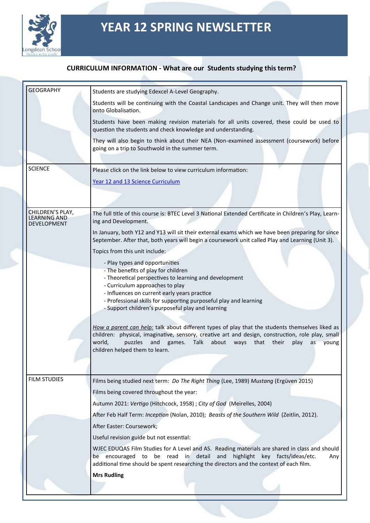

| <b>GEOGRAPHY</b>                                | Students are studying Edexcel A-Level Geography.                                                                                                                                                                                                                                                                                              |
|-------------------------------------------------|-----------------------------------------------------------------------------------------------------------------------------------------------------------------------------------------------------------------------------------------------------------------------------------------------------------------------------------------------|
|                                                 | Students will be continuing with the Coastal Landscapes and Change unit. They will then move<br>onto Globalisation.                                                                                                                                                                                                                           |
|                                                 | Students have been making revision materials for all units covered, these could be used to<br>question the students and check knowledge and understanding.                                                                                                                                                                                    |
|                                                 | They will also begin to think about their NEA (Non-examined assessment (coursework) before<br>going on a trip to Southwold in the summer term.                                                                                                                                                                                                |
| <b>SCIENCE</b>                                  | Please click on the link below to view curriculum information:                                                                                                                                                                                                                                                                                |
|                                                 | Year 12 and 13 Science Curriculum                                                                                                                                                                                                                                                                                                             |
|                                                 |                                                                                                                                                                                                                                                                                                                                               |
| CHILDREN'S PLAY,<br>LEARNING AND<br>DEVELOPMENT | The full title of this course is: BTEC Level 3 National Extended Certificate in Children's Play, Learn-<br>ing and Development.                                                                                                                                                                                                               |
|                                                 | In January, both Y12 and Y13 will sit their external exams which we have been preparing for since<br>September. After that, both years will begin a coursework unit called Play and Learning (Unit 3).                                                                                                                                        |
|                                                 | Topics from this unit include:                                                                                                                                                                                                                                                                                                                |
|                                                 | - Play types and opportunities<br>- The benefits of play for children<br>- Theoretical perspectives to learning and development                                                                                                                                                                                                               |
|                                                 | - Curriculum approaches to play<br>- Influences on current early years practice                                                                                                                                                                                                                                                               |
|                                                 | - Professional skills for supporting purposeful play and learning<br>- Support children's purposeful play and learning                                                                                                                                                                                                                        |
|                                                 | How a parent can help: talk about different types of play that the students themselves liked as<br>children: physical, imaginative, sensory, creative art and design, construction, role play, small<br>world,<br>and<br>Talk<br>about<br>their<br>puzzles<br>games.<br>ways<br>that<br>play<br>as<br>voung<br>children helped them to learn. |
|                                                 |                                                                                                                                                                                                                                                                                                                                               |
| <b>FILM STUDIES</b>                             | Films being studied next term: Do The Right Thing (Lee, 1989) Mustang (Ergüven 2015)                                                                                                                                                                                                                                                          |
|                                                 | Films being covered throughout the year:                                                                                                                                                                                                                                                                                                      |
|                                                 | Autumn 2021: Vertigo (Hitchcock, 1958) ; City of God (Meirelles, 2004)                                                                                                                                                                                                                                                                        |
|                                                 | After Feb Half Term: Inception (Nolan, 2010); Beasts of the Southern Wild (Zeitlin, 2012).                                                                                                                                                                                                                                                    |
|                                                 | After Easter: Coursework;                                                                                                                                                                                                                                                                                                                     |
|                                                 | Useful revision guide but not essential:                                                                                                                                                                                                                                                                                                      |
|                                                 | WJEC EDUQAS Film Studies for A Level and AS. Reading materials are shared in class and should<br>be encouraged to be read in detail and highlight key facts/ideas/etc.<br>Any<br>additional time should be spent researching the directors and the context of each film.                                                                      |
|                                                 | <b>Mrs Rudling</b>                                                                                                                                                                                                                                                                                                                            |
|                                                 |                                                                                                                                                                                                                                                                                                                                               |
|                                                 |                                                                                                                                                                                                                                                                                                                                               |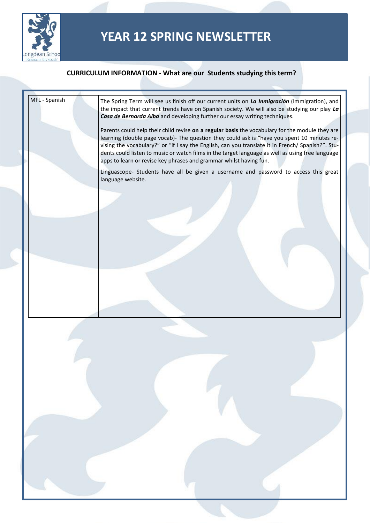

| MFL - Spanish | The Spring Term will see us finish off our current units on La Inmigración (Immigration), and<br>the impact that current trends have on Spanish society. We will also be studying our play La<br>Casa de Bernarda Alba and developing further our essay writing techniques.                                                                                                                                                                                                   |  |
|---------------|-------------------------------------------------------------------------------------------------------------------------------------------------------------------------------------------------------------------------------------------------------------------------------------------------------------------------------------------------------------------------------------------------------------------------------------------------------------------------------|--|
|               | Parents could help their child revise on a regular basis the vocabulary for the module they are<br>learning (double page vocab)- The question they could ask is "have you spent 10 minutes re-<br>vising the vocabulary?" or "if I say the English, can you translate it in French/ Spanish?". Stu-<br>dents could listen to music or watch films in the target language as well as using free language<br>apps to learn or revise key phrases and grammar whilst having fun. |  |
|               | Linguascope- Students have all be given a username and password to access this great<br>language website.                                                                                                                                                                                                                                                                                                                                                                     |  |
|               |                                                                                                                                                                                                                                                                                                                                                                                                                                                                               |  |
|               |                                                                                                                                                                                                                                                                                                                                                                                                                                                                               |  |
|               |                                                                                                                                                                                                                                                                                                                                                                                                                                                                               |  |
|               |                                                                                                                                                                                                                                                                                                                                                                                                                                                                               |  |
|               |                                                                                                                                                                                                                                                                                                                                                                                                                                                                               |  |
|               |                                                                                                                                                                                                                                                                                                                                                                                                                                                                               |  |
|               |                                                                                                                                                                                                                                                                                                                                                                                                                                                                               |  |
|               |                                                                                                                                                                                                                                                                                                                                                                                                                                                                               |  |
|               |                                                                                                                                                                                                                                                                                                                                                                                                                                                                               |  |